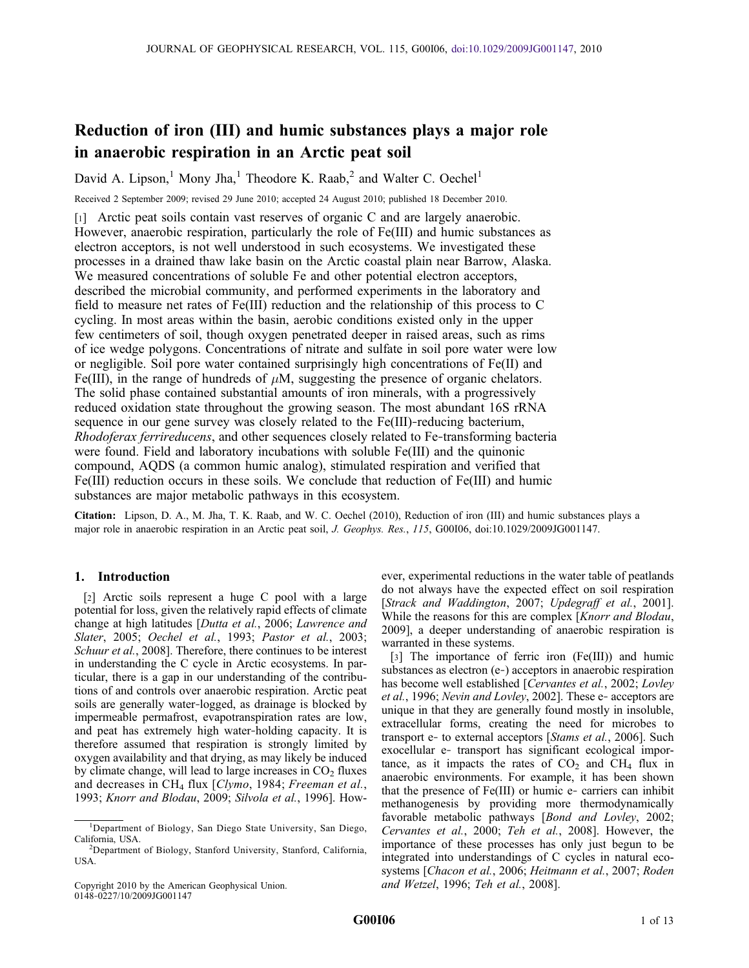# Reduction of iron (III) and humic substances plays a major role in anaerobic respiration in an Arctic peat soil

David A. Lipson,<sup>1</sup> Mony Jha,<sup>1</sup> Theodore K. Raab,<sup>2</sup> and Walter C. Oechel<sup>1</sup>

Received 2 September 2009; revised 29 June 2010; accepted 24 August 2010; published 18 December 2010.

[1] Arctic peat soils contain vast reserves of organic C and are largely anaerobic. However, anaerobic respiration, particularly the role of Fe(III) and humic substances as electron acceptors, is not well understood in such ecosystems. We investigated these processes in a drained thaw lake basin on the Arctic coastal plain near Barrow, Alaska. We measured concentrations of soluble Fe and other potential electron acceptors, described the microbial community, and performed experiments in the laboratory and field to measure net rates of Fe(III) reduction and the relationship of this process to C cycling. In most areas within the basin, aerobic conditions existed only in the upper few centimeters of soil, though oxygen penetrated deeper in raised areas, such as rims of ice wedge polygons. Concentrations of nitrate and sulfate in soil pore water were low or negligible. Soil pore water contained surprisingly high concentrations of Fe(II) and Fe(III), in the range of hundreds of  $\mu$ M, suggesting the presence of organic chelators. The solid phase contained substantial amounts of iron minerals, with a progressively reduced oxidation state throughout the growing season. The most abundant 16S rRNA sequence in our gene survey was closely related to the Fe(III)–reducing bacterium, Rhodoferax ferrireducens, and other sequences closely related to Fe-transforming bacteria were found. Field and laboratory incubations with soluble Fe(III) and the quinonic compound, AQDS (a common humic analog), stimulated respiration and verified that Fe(III) reduction occurs in these soils. We conclude that reduction of Fe(III) and humic substances are major metabolic pathways in this ecosystem.

Citation: Lipson, D. A., M. Jha, T. K. Raab, and W. C. Oechel (2010), Reduction of iron (III) and humic substances plays a major role in anaerobic respiration in an Arctic peat soil, J. Geophys. Res., 115, G00I06, doi:10.1029/2009JG001147.

# 1. Introduction

[2] Arctic soils represent a huge C pool with a large potential for loss, given the relatively rapid effects of climate change at high latitudes [Dutta et al., 2006; Lawrence and Slater, 2005; Oechel et al., 1993; Pastor et al., 2003; Schuur et al., 2008]. Therefore, there continues to be interest in understanding the C cycle in Arctic ecosystems. In particular, there is a gap in our understanding of the contributions of and controls over anaerobic respiration. Arctic peat soils are generally water‐logged, as drainage is blocked by impermeable permafrost, evapotranspiration rates are low, and peat has extremely high water‐holding capacity. It is therefore assumed that respiration is strongly limited by oxygen availability and that drying, as may likely be induced by climate change, will lead to large increases in  $CO<sub>2</sub>$  fluxes and decreases in CH<sub>4</sub> flux [Clymo, 1984; Freeman et al., 1993; Knorr and Blodau, 2009; Silvola et al., 1996]. How-

Copyright 2010 by the American Geophysical Union. 0148‐0227/10/2009JG001147

ever, experimental reductions in the water table of peatlands do not always have the expected effect on soil respiration [Strack and Waddington, 2007; Updegraff et al., 2001]. While the reasons for this are complex [Knorr and Blodau, 2009], a deeper understanding of anaerobic respiration is warranted in these systems.

[3] The importance of ferric iron (Fe(III)) and humic substances as electron (e‐) acceptors in anaerobic respiration has become well established [Cervantes et al., 2002; Lovley et al., 1996; Nevin and Lovley, 2002]. These e‐ acceptors are unique in that they are generally found mostly in insoluble, extracellular forms, creating the need for microbes to transport e- to external acceptors [Stams et al., 2006]. Such exocellular e‐ transport has significant ecological importance, as it impacts the rates of  $CO<sub>2</sub>$  and  $CH<sub>4</sub>$  flux in anaerobic environments. For example, it has been shown that the presence of Fe(III) or humic e‐ carriers can inhibit methanogenesis by providing more thermodynamically favorable metabolic pathways [Bond and Lovley, 2002; Cervantes et al., 2000; Teh et al., 2008]. However, the importance of these processes has only just begun to be integrated into understandings of C cycles in natural ecosystems [Chacon et al., 2006; Heitmann et al., 2007; Roden and Wetzel, 1996; Teh et al., 2008].

<sup>&</sup>lt;sup>1</sup>Department of Biology, San Diego State University, San Diego, California, USA.

Department of Biology, Stanford University, Stanford, California, USA.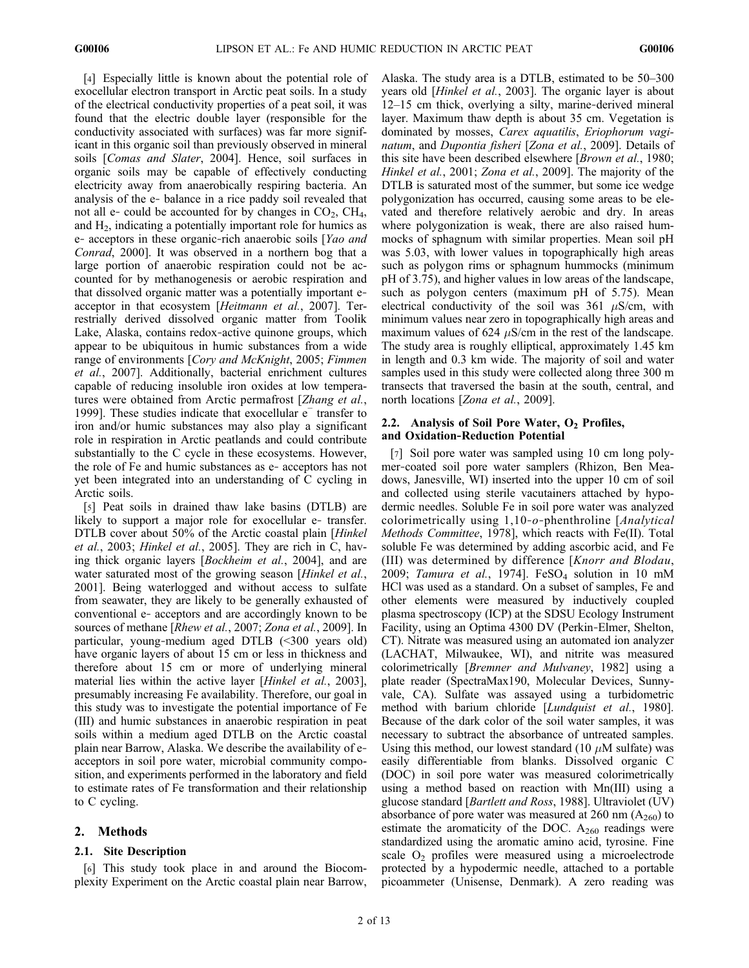[4] Especially little is known about the potential role of exocellular electron transport in Arctic peat soils. In a study of the electrical conductivity properties of a peat soil, it was found that the electric double layer (responsible for the conductivity associated with surfaces) was far more significant in this organic soil than previously observed in mineral soils [Comas and Slater, 2004]. Hence, soil surfaces in organic soils may be capable of effectively conducting electricity away from anaerobically respiring bacteria. An analysis of the e‐ balance in a rice paddy soil revealed that not all e- could be accounted for by changes in  $CO<sub>2</sub>$ ,  $CH<sub>4</sub>$ , and  $H<sub>2</sub>$ , indicating a potentially important role for humics as e- acceptors in these organic-rich anaerobic soils [Yao and Conrad, 2000]. It was observed in a northern bog that a large portion of anaerobic respiration could not be accounted for by methanogenesis or aerobic respiration and that dissolved organic matter was a potentially important e‐ acceptor in that ecosystem [Heitmann et al., 2007]. Terrestrially derived dissolved organic matter from Toolik Lake, Alaska, contains redox‐active quinone groups, which appear to be ubiquitous in humic substances from a wide range of environments [Cory and McKnight, 2005; Fimmen et al., 2007]. Additionally, bacterial enrichment cultures capable of reducing insoluble iron oxides at low temperatures were obtained from Arctic permafrost [Zhang et al., 1999]. These studies indicate that exocellular e<sup>−</sup> transfer to iron and/or humic substances may also play a significant role in respiration in Arctic peatlands and could contribute substantially to the C cycle in these ecosystems. However, the role of Fe and humic substances as e‐ acceptors has not yet been integrated into an understanding of C cycling in Arctic soils.

[5] Peat soils in drained thaw lake basins (DTLB) are likely to support a major role for exocellular e- transfer. DTLB cover about 50% of the Arctic coastal plain [Hinkel] et al., 2003; Hinkel et al., 2005]. They are rich in C, having thick organic layers [Bockheim et al., 2004], and are water saturated most of the growing season [Hinkel et al., 2001]. Being waterlogged and without access to sulfate from seawater, they are likely to be generally exhausted of conventional e‐ acceptors and are accordingly known to be sources of methane [*Rhew et al.*, 2007; Zona et al., 2009]. In particular, young‐medium aged DTLB (<300 years old) have organic layers of about 15 cm or less in thickness and therefore about 15 cm or more of underlying mineral material lies within the active layer [*Hinkel et al.*, 2003], presumably increasing Fe availability. Therefore, our goal in this study was to investigate the potential importance of Fe (III) and humic substances in anaerobic respiration in peat soils within a medium aged DTLB on the Arctic coastal plain near Barrow, Alaska. We describe the availability of e‐ acceptors in soil pore water, microbial community composition, and experiments performed in the laboratory and field to estimate rates of Fe transformation and their relationship to C cycling.

# 2. Methods

#### 2.1. Site Description

[6] This study took place in and around the Biocomplexity Experiment on the Arctic coastal plain near Barrow, Alaska. The study area is a DTLB, estimated to be 50–300 years old [Hinkel et al., 2003]. The organic layer is about 12–15 cm thick, overlying a silty, marine‐derived mineral layer. Maximum thaw depth is about 35 cm. Vegetation is dominated by mosses, Carex aquatilis, Eriophorum vaginatum, and Dupontia fisheri [Zona et al., 2009]. Details of this site have been described elsewhere [Brown et al., 1980; Hinkel et al., 2001; Zona et al., 2009]. The majority of the DTLB is saturated most of the summer, but some ice wedge polygonization has occurred, causing some areas to be elevated and therefore relatively aerobic and dry. In areas where polygonization is weak, there are also raised hummocks of sphagnum with similar properties. Mean soil pH was 5.03, with lower values in topographically high areas such as polygon rims or sphagnum hummocks (minimum pH of 3.75), and higher values in low areas of the landscape, such as polygon centers (maximum pH of 5.75). Mean electrical conductivity of the soil was  $361 \mu S/cm$ , with minimum values near zero in topographically high areas and maximum values of 624  $\mu$ S/cm in the rest of the landscape. The study area is roughly elliptical, approximately 1.45 km in length and 0.3 km wide. The majority of soil and water samples used in this study were collected along three 300 m transects that traversed the basin at the south, central, and north locations [Zona et al., 2009].

# 2.2. Analysis of Soil Pore Water,  $O<sub>2</sub>$  Profiles, and Oxidation‐Reduction Potential

[7] Soil pore water was sampled using 10 cm long polymer‐coated soil pore water samplers (Rhizon, Ben Meadows, Janesville, WI) inserted into the upper 10 cm of soil and collected using sterile vacutainers attached by hypodermic needles. Soluble Fe in soil pore water was analyzed colorimetrically using 1,10‐o‐phenthroline [Analytical Methods Committee, 1978], which reacts with Fe(II). Total soluble Fe was determined by adding ascorbic acid, and Fe (III) was determined by difference [Knorr and Blodau, 2009; Tamura et al., 1974].  $FeSO<sub>4</sub>$  solution in 10 mM HCl was used as a standard. On a subset of samples, Fe and other elements were measured by inductively coupled plasma spectroscopy (ICP) at the SDSU Ecology Instrument Facility, using an Optima 4300 DV (Perkin‐Elmer, Shelton, CT). Nitrate was measured using an automated ion analyzer (LACHAT, Milwaukee, WI), and nitrite was measured colorimetrically [Bremner and Mulvaney, 1982] using a plate reader (SpectraMax190, Molecular Devices, Sunnyvale, CA). Sulfate was assayed using a turbidometric method with barium chloride [Lundquist et al., 1980]. Because of the dark color of the soil water samples, it was necessary to subtract the absorbance of untreated samples. Using this method, our lowest standard (10  $\mu$ M sulfate) was easily differentiable from blanks. Dissolved organic C (DOC) in soil pore water was measured colorimetrically using a method based on reaction with Mn(III) using a glucose standard [Bartlett and Ross, 1988]. Ultraviolet (UV) absorbance of pore water was measured at 260 nm  $(A_{260})$  to estimate the aromaticity of the DOC.  $A_{260}$  readings were standardized using the aromatic amino acid, tyrosine. Fine scale  $O<sub>2</sub>$  profiles were measured using a microelectrode protected by a hypodermic needle, attached to a portable picoammeter (Unisense, Denmark). A zero reading was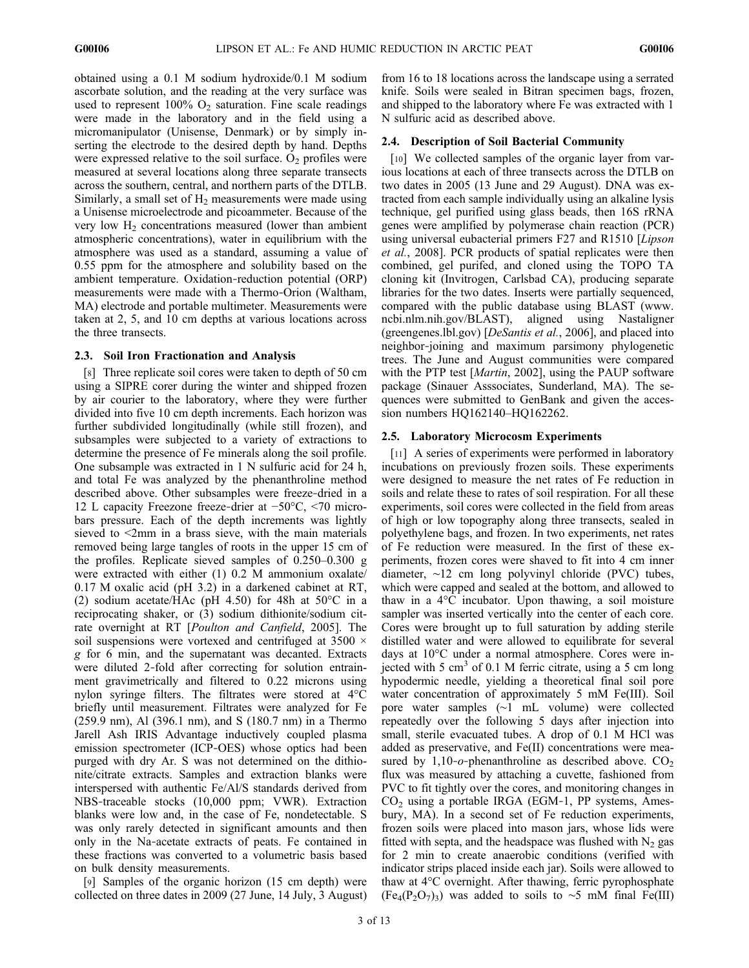obtained using a 0.1 M sodium hydroxide/0.1 M sodium ascorbate solution, and the reading at the very surface was used to represent  $100\%$  O<sub>2</sub> saturation. Fine scale readings were made in the laboratory and in the field using a micromanipulator (Unisense, Denmark) or by simply inserting the electrode to the desired depth by hand. Depths were expressed relative to the soil surface.  $O_2$  profiles were measured at several locations along three separate transects across the southern, central, and northern parts of the DTLB. Similarly, a small set of  $H_2$  measurements were made using a Unisense microelectrode and picoammeter. Because of the very low  $H_2$  concentrations measured (lower than ambient atmospheric concentrations), water in equilibrium with the atmosphere was used as a standard, assuming a value of 0.55 ppm for the atmosphere and solubility based on the ambient temperature. Oxidation‐reduction potential (ORP) measurements were made with a Thermo‐Orion (Waltham, MA) electrode and portable multimeter. Measurements were taken at 2, 5, and 10 cm depths at various locations across the three transects.

## 2.3. Soil Iron Fractionation and Analysis

[8] Three replicate soil cores were taken to depth of 50 cm using a SIPRE corer during the winter and shipped frozen by air courier to the laboratory, where they were further divided into five 10 cm depth increments. Each horizon was further subdivided longitudinally (while still frozen), and subsamples were subjected to a variety of extractions to determine the presence of Fe minerals along the soil profile. One subsample was extracted in 1 N sulfuric acid for 24 h, and total Fe was analyzed by the phenanthroline method described above. Other subsamples were freeze‐dried in a 12 L capacity Freezone freeze‐drier at −50°C, <70 microbars pressure. Each of the depth increments was lightly sieved to <2mm in a brass sieve, with the main materials removed being large tangles of roots in the upper 15 cm of the profiles. Replicate sieved samples of 0.250–0.300 g were extracted with either (1) 0.2 M ammonium oxalate/ 0.17 M oxalic acid (pH 3.2) in a darkened cabinet at RT, (2) sodium acetate/HAc (pH 4.50) for 48h at  $50^{\circ}$ C in a reciprocating shaker, or (3) sodium dithionite/sodium citrate overnight at RT [*Poulton and Canfield*, 2005]. The soil suspensions were vortexed and centrifuged at 3500  $\times$ g for 6 min, and the supernatant was decanted. Extracts were diluted 2-fold after correcting for solution entrainment gravimetrically and filtered to 0.22 microns using nylon syringe filters. The filtrates were stored at 4°C briefly until measurement. Filtrates were analyzed for Fe (259.9 nm), Al (396.1 nm), and S (180.7 nm) in a Thermo Jarell Ash IRIS Advantage inductively coupled plasma emission spectrometer (ICP‐OES) whose optics had been purged with dry Ar. S was not determined on the dithionite/citrate extracts. Samples and extraction blanks were interspersed with authentic Fe/Al/S standards derived from NBS‐traceable stocks (10,000 ppm; VWR). Extraction blanks were low and, in the case of Fe, nondetectable. S was only rarely detected in significant amounts and then only in the Na‐acetate extracts of peats. Fe contained in these fractions was converted to a volumetric basis based on bulk density measurements.

[9] Samples of the organic horizon (15 cm depth) were collected on three dates in 2009 (27 June, 14 July, 3 August) from 16 to 18 locations across the landscape using a serrated knife. Soils were sealed in Bitran specimen bags, frozen, and shipped to the laboratory where Fe was extracted with 1 N sulfuric acid as described above.

## 2.4. Description of Soil Bacterial Community

[10] We collected samples of the organic layer from various locations at each of three transects across the DTLB on two dates in 2005 (13 June and 29 August). DNA was extracted from each sample individually using an alkaline lysis technique, gel purified using glass beads, then 16S rRNA genes were amplified by polymerase chain reaction (PCR) using universal eubacterial primers F27 and R1510 [Lipson et al., 2008]. PCR products of spatial replicates were then combined, gel purifed, and cloned using the TOPO TA cloning kit (Invitrogen, Carlsbad CA), producing separate libraries for the two dates. Inserts were partially sequenced, compared with the public database using BLAST (www. ncbi.nlm.nih.gov/BLAST), aligned using Nastaligner (greengenes.lbl.gov) [DeSantis et al., 2006], and placed into neighbor‐joining and maximum parsimony phylogenetic trees. The June and August communities were compared with the PTP test [*Martin*, 2002], using the PAUP software package (Sinauer Asssociates, Sunderland, MA). The sequences were submitted to GenBank and given the accession numbers HQ162140–HQ162262.

## 2.5. Laboratory Microcosm Experiments

[11] A series of experiments were performed in laboratory incubations on previously frozen soils. These experiments were designed to measure the net rates of Fe reduction in soils and relate these to rates of soil respiration. For all these experiments, soil cores were collected in the field from areas of high or low topography along three transects, sealed in polyethylene bags, and frozen. In two experiments, net rates of Fe reduction were measured. In the first of these experiments, frozen cores were shaved to fit into 4 cm inner diameter, ∼12 cm long polyvinyl chloride (PVC) tubes, which were capped and sealed at the bottom, and allowed to thaw in a 4°C incubator. Upon thawing, a soil moisture sampler was inserted vertically into the center of each core. Cores were brought up to full saturation by adding sterile distilled water and were allowed to equilibrate for several days at 10°C under a normal atmosphere. Cores were injected with 5 cm<sup>3</sup> of 0.1 M ferric citrate, using a 5 cm long hypodermic needle, yielding a theoretical final soil pore water concentration of approximately 5 mM Fe(III). Soil pore water samples (∼1 mL volume) were collected repeatedly over the following 5 days after injection into small, sterile evacuated tubes. A drop of 0.1 M HCl was added as preservative, and Fe(II) concentrations were measured by 1,10-o-phenanthroline as described above.  $CO<sub>2</sub>$ flux was measured by attaching a cuvette, fashioned from PVC to fit tightly over the cores, and monitoring changes in  $CO<sub>2</sub>$  using a portable IRGA (EGM-1, PP systems, Amesbury, MA). In a second set of Fe reduction experiments, frozen soils were placed into mason jars, whose lids were fitted with septa, and the headspace was flushed with  $N_2$  gas for 2 min to create anaerobic conditions (verified with indicator strips placed inside each jar). Soils were allowed to thaw at 4°C overnight. After thawing, ferric pyrophosphate  $(Fe_4(P_2O_7)_3)$  was added to soils to ∼5 mM final Fe(III)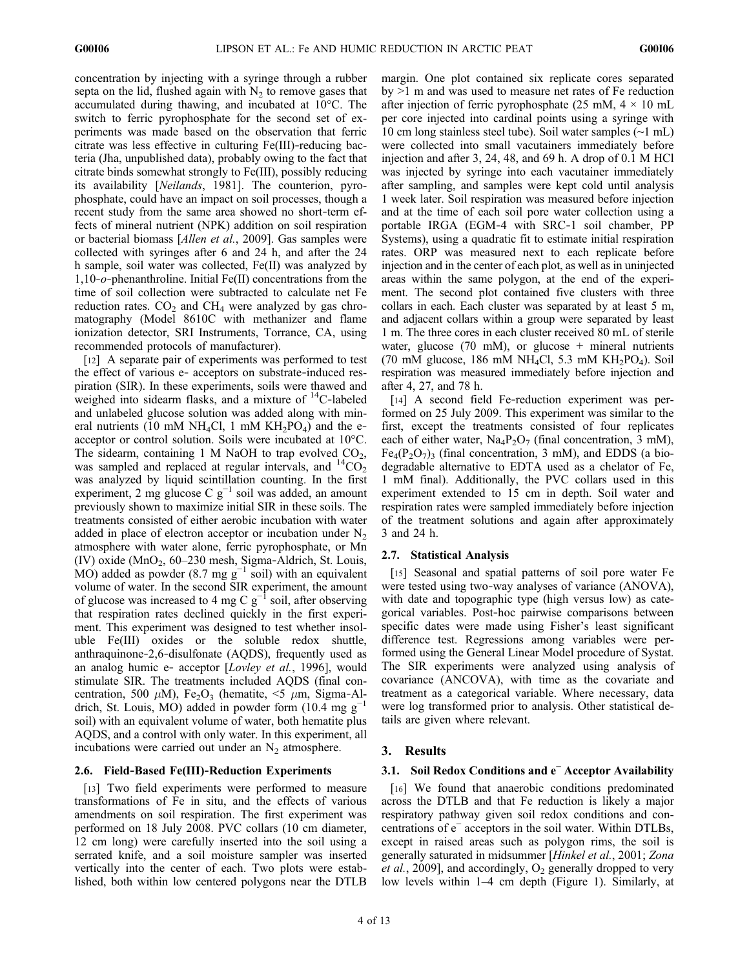concentration by injecting with a syringe through a rubber septa on the lid, flushed again with  $N_2$  to remove gases that accumulated during thawing, and incubated at 10°C. The switch to ferric pyrophosphate for the second set of experiments was made based on the observation that ferric citrate was less effective in culturing Fe(III)‐reducing bacteria (Jha, unpublished data), probably owing to the fact that citrate binds somewhat strongly to Fe(III), possibly reducing its availability [Neilands, 1981]. The counterion, pyrophosphate, could have an impact on soil processes, though a recent study from the same area showed no short‐term effects of mineral nutrient (NPK) addition on soil respiration or bacterial biomass [Allen et al., 2009]. Gas samples were collected with syringes after 6 and 24 h, and after the 24 h sample, soil water was collected, Fe(II) was analyzed by 1,10‐o‐phenanthroline. Initial Fe(II) concentrations from the time of soil collection were subtracted to calculate net Fe reduction rates.  $CO<sub>2</sub>$  and  $CH<sub>4</sub>$  were analyzed by gas chromatography (Model 8610C with methanizer and flame ionization detector, SRI Instruments, Torrance, CA, using recommended protocols of manufacturer).

[12] A separate pair of experiments was performed to test the effect of various e‐ acceptors on substrate‐induced respiration (SIR). In these experiments, soils were thawed and weighed into sidearm flasks, and a mixture of <sup>14</sup>C-labeled and unlabeled glucose solution was added along with mineral nutrients (10 mM NH<sub>4</sub>Cl, 1 mM KH<sub>2</sub>PO<sub>4</sub>) and the eacceptor or control solution. Soils were incubated at 10°C. The sidearm, containing 1 M NaOH to trap evolved  $CO<sub>2</sub>$ , was sampled and replaced at regular intervals, and  $^{14}CO_2$ was analyzed by liquid scintillation counting. In the first experiment, 2 mg glucose C  $g^{-1}$  soil was added, an amount previously shown to maximize initial SIR in these soils. The treatments consisted of either aerobic incubation with water added in place of electron acceptor or incubation under  $N_2$ atmosphere with water alone, ferric pyrophosphate, or Mn (IV) oxide (MnO<sub>2</sub>, 60–230 mesh, Sigma-Aldrich, St. Louis, MO) added as powder (8.7 mg  $g^{-1}$  soil) with an equivalent volume of water. In the second SIR experiment, the amount of glucose was increased to 4 mg C  $g^{-1}$  soil, after observing that respiration rates declined quickly in the first experiment. This experiment was designed to test whether insoluble Fe(III) oxides or the soluble redox shuttle, anthraquinone‐2,6‐disulfonate (AQDS), frequently used as an analog humic e- acceptor [Lovley et al., 1996], would stimulate SIR. The treatments included AQDS (final concentration, 500  $\mu$ M), Fe<sub>2</sub>O<sub>3</sub> (hematite, <5  $\mu$ m, Sigma-Aldrich, St. Louis, MO) added in powder form (10.4 mg  $g^{-1}$ soil) with an equivalent volume of water, both hematite plus AQDS, and a control with only water. In this experiment, all incubations were carried out under an  $N_2$  atmosphere.

#### 2.6. Field‐Based Fe(III)‐Reduction Experiments

[13] Two field experiments were performed to measure transformations of Fe in situ, and the effects of various amendments on soil respiration. The first experiment was performed on 18 July 2008. PVC collars (10 cm diameter, 12 cm long) were carefully inserted into the soil using a serrated knife, and a soil moisture sampler was inserted vertically into the center of each. Two plots were established, both within low centered polygons near the DTLB

margin. One plot contained six replicate cores separated by >1 m and was used to measure net rates of Fe reduction after injection of ferric pyrophosphate (25 mM,  $4 \times 10$  mL per core injected into cardinal points using a syringe with 10 cm long stainless steel tube). Soil water samples (∼1 mL) were collected into small vacutainers immediately before injection and after 3, 24, 48, and 69 h. A drop of 0.1 M HCl was injected by syringe into each vacutainer immediately after sampling, and samples were kept cold until analysis 1 week later. Soil respiration was measured before injection and at the time of each soil pore water collection using a portable IRGA (EGM‐4 with SRC‐1 soil chamber, PP Systems), using a quadratic fit to estimate initial respiration rates. ORP was measured next to each replicate before injection and in the center of each plot, as well as in uninjected areas within the same polygon, at the end of the experiment. The second plot contained five clusters with three collars in each. Each cluster was separated by at least 5 m, and adjacent collars within a group were separated by least 1 m. The three cores in each cluster received 80 mL of sterile water, glucose (70 mM), or glucose  $+$  mineral nutrients (70 mM glucose, 186 mM NH<sub>4</sub>Cl, 5.3 mM KH<sub>2</sub>PO<sub>4</sub>). Soil respiration was measured immediately before injection and after 4, 27, and 78 h.

[14] A second field Fe-reduction experiment was performed on 25 July 2009. This experiment was similar to the first, except the treatments consisted of four replicates each of either water,  $\text{Na}_4\text{P}_2\text{O}_7$  (final concentration, 3 mM),  $Fe_4(P_2O_7)$ <sub>3</sub> (final concentration, 3 mM), and EDDS (a biodegradable alternative to EDTA used as a chelator of Fe, 1 mM final). Additionally, the PVC collars used in this experiment extended to 15 cm in depth. Soil water and respiration rates were sampled immediately before injection of the treatment solutions and again after approximately 3 and 24 h.

#### 2.7. Statistical Analysis

[15] Seasonal and spatial patterns of soil pore water Fe were tested using two-way analyses of variance (ANOVA), with date and topographic type (high versus low) as categorical variables. Post‐hoc pairwise comparisons between specific dates were made using Fisher's least significant difference test. Regressions among variables were performed using the General Linear Model procedure of Systat. The SIR experiments were analyzed using analysis of covariance (ANCOVA), with time as the covariate and treatment as a categorical variable. Where necessary, data were log transformed prior to analysis. Other statistical details are given where relevant.

#### 3. Results

#### 3.1. Soil Redox Conditions and e<sup>−</sup> Acceptor Availability

[16] We found that anaerobic conditions predominated across the DTLB and that Fe reduction is likely a major respiratory pathway given soil redox conditions and concentrations of e<sup>−</sup> acceptors in the soil water. Within DTLBs, except in raised areas such as polygon rims, the soil is generally saturated in midsummer [Hinkel et al., 2001; Zona *et al.*, 2009], and accordingly,  $O_2$  generally dropped to very low levels within 1–4 cm depth (Figure 1). Similarly, at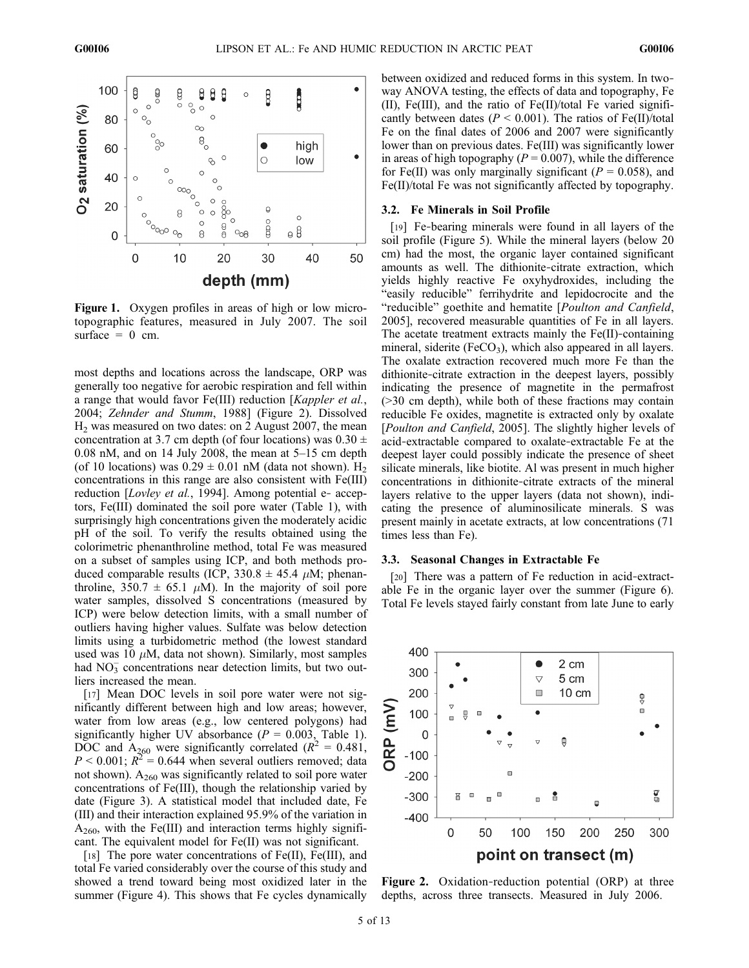

Figure 1. Oxygen profiles in areas of high or low microtopographic features, measured in July 2007. The soil surface  $= 0$  cm.

most depths and locations across the landscape, ORP was generally too negative for aerobic respiration and fell within a range that would favor Fe(III) reduction [Kappler et al., 2004; Zehnder and Stumm, 1988] (Figure 2). Dissolved  $H<sub>2</sub>$  was measured on two dates: on 2 August 2007, the mean concentration at 3.7 cm depth (of four locations) was  $0.30 \pm$ 0.08 nM, and on 14 July 2008, the mean at 5–15 cm depth (of 10 locations) was  $0.29 \pm 0.01$  nM (data not shown). H<sub>2</sub> concentrations in this range are also consistent with Fe(III) reduction [*Lovley et al.*, 1994]. Among potential e- acceptors, Fe(III) dominated the soil pore water (Table 1), with surprisingly high concentrations given the moderately acidic pH of the soil. To verify the results obtained using the colorimetric phenanthroline method, total Fe was measured on a subset of samples using ICP, and both methods produced comparable results (ICP,  $330.8 \pm 45.4 \mu$ M; phenanthroline,  $350.7 \pm 65.1 \mu M$ ). In the majority of soil pore water samples, dissolved S concentrations (measured by ICP) were below detection limits, with a small number of outliers having higher values. Sulfate was below detection limits using a turbidometric method (the lowest standard used was 10  $\mu$ M, data not shown). Similarly, most samples had  $NO<sub>3</sub><sup>-</sup>$  concentrations near detection limits, but two outliers increased the mean.

[17] Mean DOC levels in soil pore water were not significantly different between high and low areas; however, water from low areas (e.g., low centered polygons) had significantly higher UV absorbance ( $P = 0.003$ , Table 1). DOC and  $A_{260}$  were significantly correlated  $(R^2 = 0.481)$ ,  $P < 0.001$ ;  $R^2 = 0.644$  when several outliers removed; data not shown).  $A_{260}$  was significantly related to soil pore water concentrations of Fe(III), though the relationship varied by date (Figure 3). A statistical model that included date, Fe (III) and their interaction explained 95.9% of the variation in  $A_{260}$ , with the Fe(III) and interaction terms highly significant. The equivalent model for Fe(II) was not significant.

[18] The pore water concentrations of Fe(II), Fe(III), and total Fe varied considerably over the course of this study and showed a trend toward being most oxidized later in the summer (Figure 4). This shows that Fe cycles dynamically between oxidized and reduced forms in this system. In twoway ANOVA testing, the effects of data and topography, Fe (II), Fe(III), and the ratio of Fe(II)/total Fe varied significantly between dates ( $P < 0.001$ ). The ratios of Fe(II)/total Fe on the final dates of 2006 and 2007 were significantly lower than on previous dates. Fe(III) was significantly lower in areas of high topography ( $P = 0.007$ ), while the difference for Fe(II) was only marginally significant ( $P = 0.058$ ), and Fe(II)/total Fe was not significantly affected by topography.

#### 3.2. Fe Minerals in Soil Profile

[19] Fe-bearing minerals were found in all layers of the soil profile (Figure 5). While the mineral layers (below 20 cm) had the most, the organic layer contained significant amounts as well. The dithionite‐citrate extraction, which yields highly reactive Fe oxyhydroxides, including the "easily reducible" ferrihydrite and lepidocrocite and the "reducible" goethite and hematite [Poulton and Canfield, 2005], recovered measurable quantities of Fe in all layers. The acetate treatment extracts mainly the Fe(II)-containing mineral, siderite ( $FeCO<sub>3</sub>$ ), which also appeared in all layers. The oxalate extraction recovered much more Fe than the dithionite‐citrate extraction in the deepest layers, possibly indicating the presence of magnetite in the permafrost (>30 cm depth), while both of these fractions may contain reducible Fe oxides, magnetite is extracted only by oxalate [Poulton and Canfield, 2005]. The slightly higher levels of acid‐extractable compared to oxalate‐extractable Fe at the deepest layer could possibly indicate the presence of sheet silicate minerals, like biotite. Al was present in much higher concentrations in dithionite‐citrate extracts of the mineral layers relative to the upper layers (data not shown), indicating the presence of aluminosilicate minerals. S was present mainly in acetate extracts, at low concentrations (71 times less than Fe).

#### 3.3. Seasonal Changes in Extractable Fe

[20] There was a pattern of Fe reduction in acid-extractable Fe in the organic layer over the summer (Figure 6). Total Fe levels stayed fairly constant from late June to early



Figure 2. Oxidation-reduction potential (ORP) at three depths, across three transects. Measured in July 2006.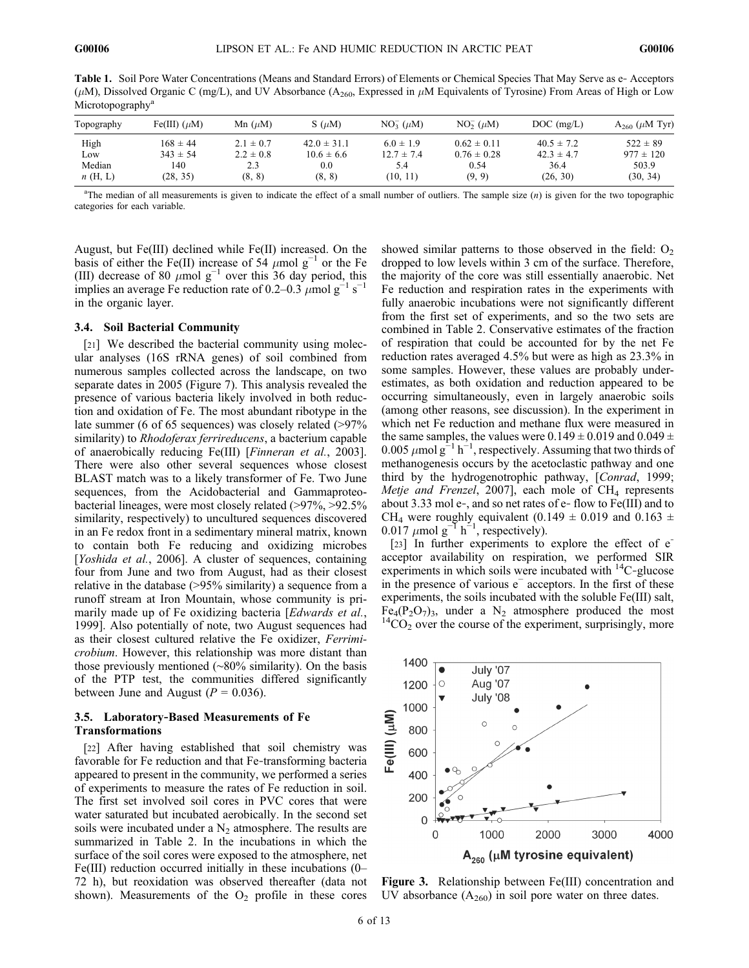Table 1. Soil Pore Water Concentrations (Means and Standard Errors) of Elements or Chemical Species That May Serve as e‐ Acceptors ( $\mu$ M), Dissolved Organic C (mg/L), and UV Absorbance (A<sub>260</sub>, Expressed in  $\mu$ M Equivalents of Tyrosine) From Areas of High or Low Microtopography<sup>a</sup>

| Topography | Fe(III) $(\mu M)$ | Mn $(\mu M)$  | $S(\mu M)$      | $NO_3^- (\mu M)$ | $NO2-$ ( $\mu$ M) | $DOC$ (mg/L)   | $A_{260}$ ( $\mu$ M Tyr) |
|------------|-------------------|---------------|-----------------|------------------|-------------------|----------------|--------------------------|
| High       | $168 \pm 44$      | $2.1 \pm 0.7$ | $42.0 \pm 31.1$ | $6.0 \pm 1.9$    | $0.62 \pm 0.11$   | $40.5 \pm 7.2$ | $522 \pm 89$             |
| Low        | $343 \pm 54$      | $2.2 \pm 0.8$ | $10.6 \pm 6.6$  | $12.7 \pm 7.4$   | $0.76 \pm 0.28$   | $42.3 \pm 4.7$ | $977 \pm 120$            |
| Median     | 140               | 2.3           | 0.0             | 5.4              | 0.54              | 36.4           | 503.9                    |
| n(H, L)    | (28, 35)          | (8, 8)        | (8, 8)          | (10, 11)         | (9, 9)            | (26, 30)       | (30, 34)                 |

<sup>a</sup>The median of all measurements is given to indicate the effect of a small number of outliers. The sample size  $(n)$  is given for the two topographic categories for each variable.

August, but Fe(III) declined while Fe(II) increased. On the basis of either the Fe(II) increase of 54  $\mu$ mol g<sup>-1</sup> or the Fe (III) decrease of 80  $\mu$ mol g<sup>-1</sup> over this 36 day period, this implies an average Fe reduction rate of 0.2–0.3  $\mu$ mol g<sup>-1</sup> s<sup>-1</sup> in the organic layer.

#### 3.4. Soil Bacterial Community

[21] We described the bacterial community using molecular analyses (16S rRNA genes) of soil combined from numerous samples collected across the landscape, on two separate dates in 2005 (Figure 7). This analysis revealed the presence of various bacteria likely involved in both reduction and oxidation of Fe. The most abundant ribotype in the late summer (6 of 65 sequences) was closely related (>97%) similarity) to *Rhodoferax ferrireducens*, a bacterium capable of anaerobically reducing Fe(III) [Finneran et al., 2003]. There were also other several sequences whose closest BLAST match was to a likely transformer of Fe. Two June sequences, from the Acidobacterial and Gammaproteobacterial lineages, were most closely related (>97%, >92.5% similarity, respectively) to uncultured sequences discovered in an Fe redox front in a sedimentary mineral matrix, known to contain both Fe reducing and oxidizing microbes [Yoshida et al., 2006]. A cluster of sequences, containing four from June and two from August, had as their closest relative in the database (>95% similarity) a sequence from a runoff stream at Iron Mountain, whose community is primarily made up of Fe oxidizing bacteria [Edwards et al., 1999]. Also potentially of note, two August sequences had as their closest cultured relative the Fe oxidizer, Ferrimicrobium. However, this relationship was more distant than those previously mentioned (∼80% similarity). On the basis of the PTP test, the communities differed significantly between June and August ( $P = 0.036$ ).

#### 3.5. Laboratory‐Based Measurements of Fe Transformations

[22] After having established that soil chemistry was favorable for Fe reduction and that Fe‐transforming bacteria appeared to present in the community, we performed a series of experiments to measure the rates of Fe reduction in soil. The first set involved soil cores in PVC cores that were water saturated but incubated aerobically. In the second set soils were incubated under a  $N<sub>2</sub>$  atmosphere. The results are summarized in Table 2. In the incubations in which the surface of the soil cores were exposed to the atmosphere, net Fe(III) reduction occurred initially in these incubations (0– 72 h), but reoxidation was observed thereafter (data not shown). Measurements of the  $O<sub>2</sub>$  profile in these cores

showed similar patterns to those observed in the field:  $O_2$ dropped to low levels within 3 cm of the surface. Therefore, the majority of the core was still essentially anaerobic. Net Fe reduction and respiration rates in the experiments with fully anaerobic incubations were not significantly different from the first set of experiments, and so the two sets are combined in Table 2. Conservative estimates of the fraction of respiration that could be accounted for by the net Fe reduction rates averaged 4.5% but were as high as 23.3% in some samples. However, these values are probably underestimates, as both oxidation and reduction appeared to be occurring simultaneously, even in largely anaerobic soils (among other reasons, see discussion). In the experiment in which net Fe reduction and methane flux were measured in the same samples, the values were  $0.149 \pm 0.019$  and  $0.049 \pm 0.019$ 0.005  $\mu$ mol g<sup>-1</sup> h<sup>-1</sup>, respectively. Assuming that two thirds of methanogenesis occurs by the acetoclastic pathway and one third by the hydrogenotrophic pathway, [Conrad, 1999; Metje and Frenzel, 2007], each mole of  $CH_4$  represents about 3.33 mol e‐, and so net rates of e‐ flow to Fe(III) and to CH<sub>4</sub> were roughly equivalent (0.149  $\pm$  0.019 and 0.163  $\pm$ 0.017  $\mu$ mol g<sup>-1</sup> h<sup>-1</sup>, respectively).

[23] In further experiments to explore the effect of  $e^$ acceptor availability on respiration, we performed SIR experiments in which soils were incubated with  $^{14}$ C-glucose in the presence of various e<sup>−</sup> acceptors. In the first of these experiments, the soils incubated with the soluble Fe(III) salt, Fe<sub>4</sub>(P<sub>2</sub>O<sub>7</sub>)<sub>3</sub>, under a N<sub>2</sub> atmosphere produced the most <sup>14</sup>CO<sub>2</sub> over the course of the experiment, surprisingly, more



Figure 3. Relationship between Fe(III) concentration and UV absorbance  $(A_{260})$  in soil pore water on three dates.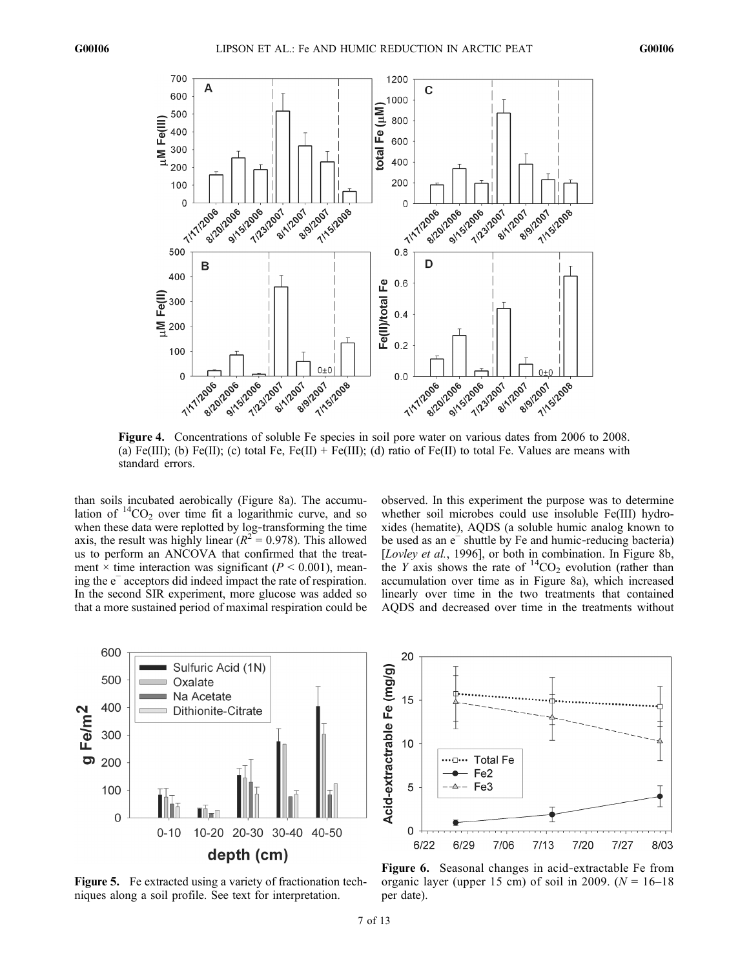

Figure 4. Concentrations of soluble Fe species in soil pore water on various dates from 2006 to 2008. (a) Fe(III); (b) Fe(II); (c) total Fe, Fe(II) + Fe(III); (d) ratio of Fe(II) to total Fe. Values are means with standard errors.

than soils incubated aerobically (Figure 8a). The accumulation of  ${}^{14}CO_2$  over time fit a logarithmic curve, and so when these data were replotted by log-transforming the time axis, the result was highly linear ( $R^2 = 0.978$ ). This allowed us to perform an ANCOVA that confirmed that the treatment  $\times$  time interaction was significant ( $P < 0.001$ ), meaning the e<sup>−</sup> acceptors did indeed impact the rate of respiration. In the second SIR experiment, more glucose was added so that a more sustained period of maximal respiration could be observed. In this experiment the purpose was to determine whether soil microbes could use insoluble Fe(III) hydroxides (hematite), AQDS (a soluble humic analog known to be used as an e<sup>−</sup> shuttle by Fe and humic‐reducing bacteria) [*Lovley et al.*, 1996], or both in combination. In Figure 8b, the Y axis shows the rate of  ${}^{14}CO_2$  evolution (rather than accumulation over time as in Figure 8a), which increased linearly over time in the two treatments that contained AQDS and decreased over time in the treatments without







Figure 6. Seasonal changes in acid‐extractable Fe from organic layer (upper 15 cm) of soil in 2009. ( $N = 16-18$ per date).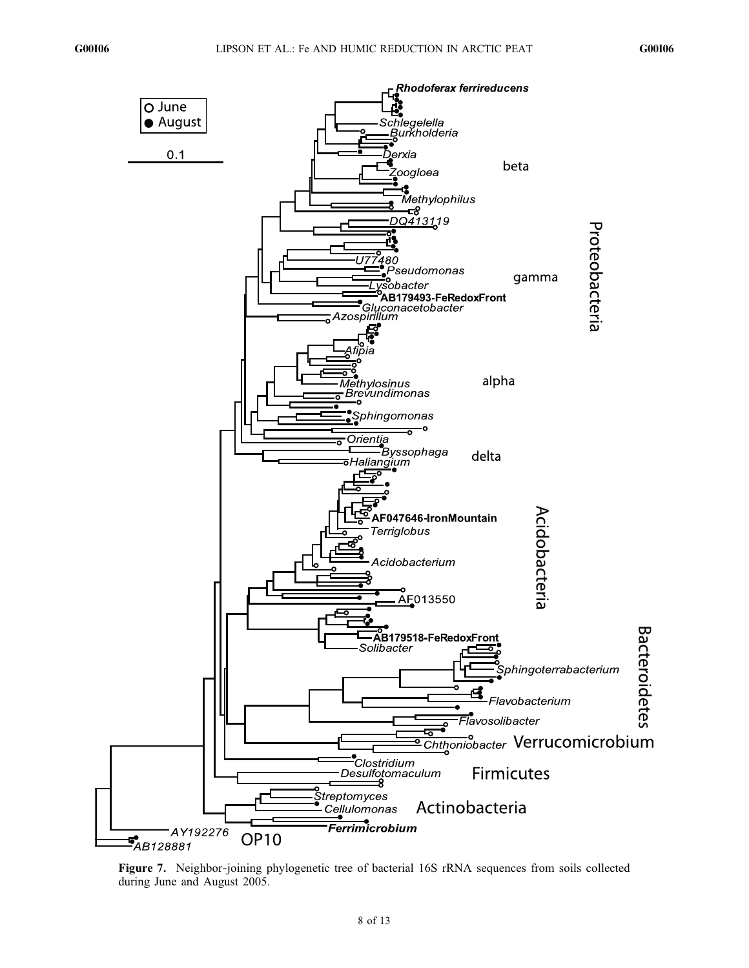

Figure 7. Neighbor-joining phylogenetic tree of bacterial 16S rRNA sequences from soils collected during June and August 2005.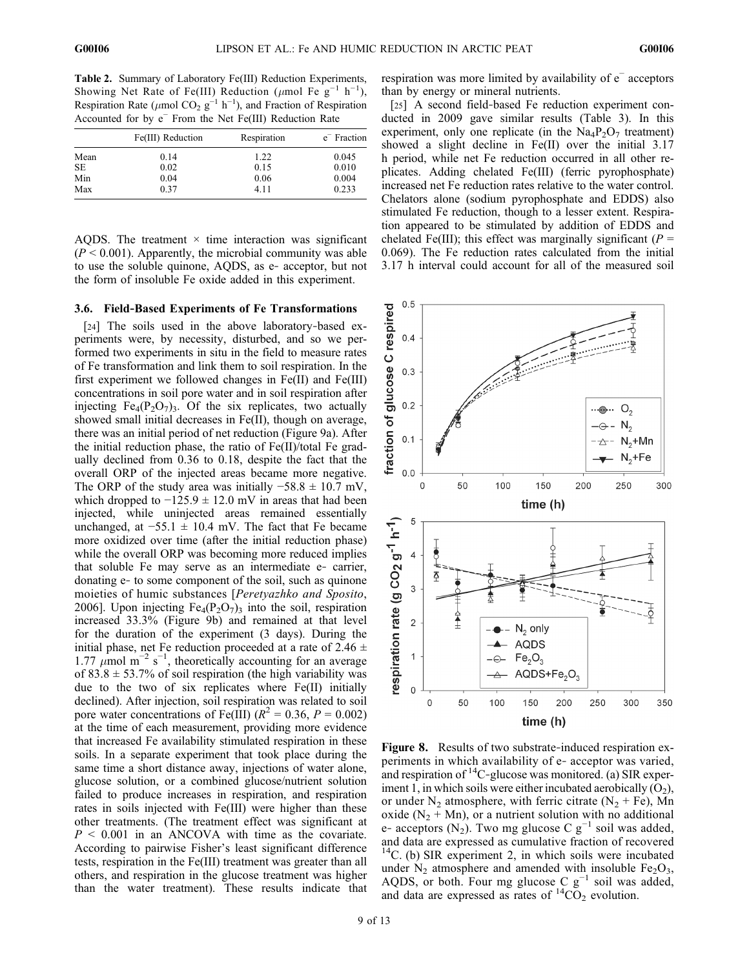Table 2. Summary of Laboratory Fe(III) Reduction Experiments, Showing Net Rate of Fe(III) Reduction ( $\mu$ mol Fe g<sup>-1</sup> h<sup>-1</sup>), Respiration Rate ( $\mu$ mol CO<sub>2</sub> g<sup>-1</sup> h<sup>-1</sup>), and Fraction of Respiration Accounted for by e<sup>−</sup> From the Net Fe(III) Reduction Rate

|           | Fe(III) Reduction | Respiration | e <sup>-</sup> Fraction |
|-----------|-------------------|-------------|-------------------------|
| Mean      | 0.14              | 1.22        | 0.045                   |
| <b>SE</b> | 0.02              | 0.15        | 0.010                   |
| Min       | 0.04              | 0.06        | 0.004                   |
| Max       | 0.37              | 4.11        | 0.233                   |

AQDS. The treatment  $\times$  time interaction was significant  $(P < 0.001)$ . Apparently, the microbial community was able to use the soluble quinone, AQDS, as e‐ acceptor, but not the form of insoluble Fe oxide added in this experiment.

#### 3.6. Field‐Based Experiments of Fe Transformations

[24] The soils used in the above laboratory‐based experiments were, by necessity, disturbed, and so we performed two experiments in situ in the field to measure rates of Fe transformation and link them to soil respiration. In the first experiment we followed changes in Fe(II) and Fe(III) concentrations in soil pore water and in soil respiration after injecting  $Fe_4(P_2O_7)$ . Of the six replicates, two actually showed small initial decreases in Fe(II), though on average, there was an initial period of net reduction (Figure 9a). After the initial reduction phase, the ratio of Fe(II)/total Fe gradually declined from 0.36 to 0.18, despite the fact that the overall ORP of the injected areas became more negative. The ORP of the study area was initially  $-58.8 \pm 10.7$  mV, which dropped to  $-125.9 \pm 12.0$  mV in areas that had been injected, while uninjected areas remained essentially unchanged, at  $-55.1 \pm 10.4$  mV. The fact that Fe became more oxidized over time (after the initial reduction phase) while the overall ORP was becoming more reduced implies that soluble Fe may serve as an intermediate e‐ carrier, donating e‐ to some component of the soil, such as quinone moieties of humic substances [Peretyazhko and Sposito, 2006]. Upon injecting  $Fe_4(P_2O_7)$ <sub>3</sub> into the soil, respiration increased 33.3% (Figure 9b) and remained at that level for the duration of the experiment (3 days). During the initial phase, net Fe reduction proceeded at a rate of 2.46  $\pm$ 1.77  $\mu$ mol m<sup>-2</sup> s<sup>-1</sup>, theoretically accounting for an average of 83.8  $\pm$  53.7% of soil respiration (the high variability was due to the two of six replicates where Fe(II) initially declined). After injection, soil respiration was related to soil pore water concentrations of Fe(III) ( $R^2 = 0.36$ ,  $P = 0.002$ ) at the time of each measurement, providing more evidence that increased Fe availability stimulated respiration in these soils. In a separate experiment that took place during the same time a short distance away, injections of water alone, glucose solution, or a combined glucose/nutrient solution failed to produce increases in respiration, and respiration rates in soils injected with Fe(III) were higher than these other treatments. (The treatment effect was significant at  $P \leq 0.001$  in an ANCOVA with time as the covariate. According to pairwise Fisher's least significant difference tests, respiration in the Fe(III) treatment was greater than all others, and respiration in the glucose treatment was higher than the water treatment). These results indicate that

respiration was more limited by availability of e<sup>−</sup> acceptors than by energy or mineral nutrients.

[25] A second field-based Fe reduction experiment conducted in 2009 gave similar results (Table 3). In this experiment, only one replicate (in the  $Na_4P_2O_7$  treatment) showed a slight decline in Fe(II) over the initial 3.17 h period, while net Fe reduction occurred in all other replicates. Adding chelated Fe(III) (ferric pyrophosphate) increased net Fe reduction rates relative to the water control. Chelators alone (sodium pyrophosphate and EDDS) also stimulated Fe reduction, though to a lesser extent. Respiration appeared to be stimulated by addition of EDDS and chelated Fe(III); this effect was marginally significant ( $P =$ 0.069). The Fe reduction rates calculated from the initial 3.17 h interval could account for all of the measured soil



Figure 8. Results of two substrate-induced respiration experiments in which availability of e‐ acceptor was varied, and respiration of  ${}^{14}C$ -glucose was monitored. (a) SIR experiment 1, in which soils were either incubated aerobically  $(O_2)$ , or under  $N_2$  atmosphere, with ferric citrate  $(N_2 + Fe)$ , Mn oxide  $(N_2 + Mn)$ , or a nutrient solution with no additional e- acceptors (N<sub>2</sub>). Two mg glucose C  $g^{-1}$  soil was added, and data are expressed as cumulative fraction of recovered  $14$ C. (b) SIR experiment 2, in which soils were incubated under  $N_2$  atmosphere and amended with insoluble  $Fe<sub>2</sub>O<sub>3</sub>$ , AQDS, or both. Four mg glucose C  $g^{-1}$  soil was added, and data are expressed as rates of  ${}^{14}CO_2$  evolution.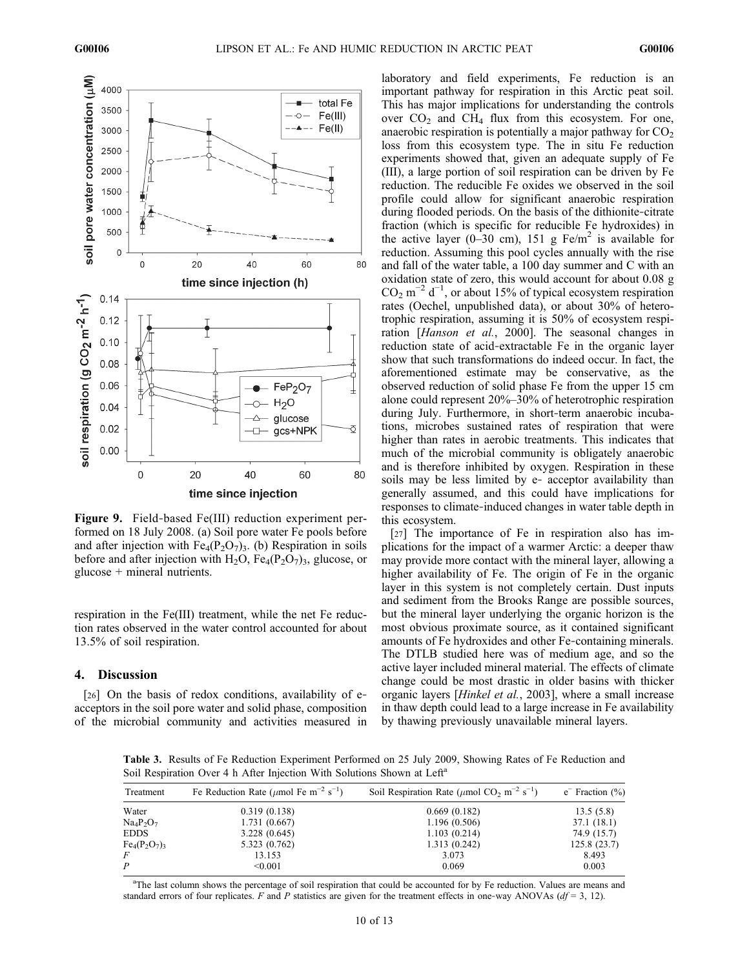

Figure 9. Field‐based Fe(III) reduction experiment performed on 18 July 2008. (a) Soil pore water Fe pools before and after injection with  $Fe_4(P_2O_7)_3$ . (b) Respiration in soils before and after injection with  $H_2O$ ,  $Fe_4(P_2O_7)_3$ , glucose, or glucose + mineral nutrients.

respiration in the Fe(III) treatment, while the net Fe reduction rates observed in the water control accounted for about 13.5% of soil respiration.

## 4. Discussion

[26] On the basis of redox conditions, availability of eacceptors in the soil pore water and solid phase, composition of the microbial community and activities measured in

laboratory and field experiments, Fe reduction is an important pathway for respiration in this Arctic peat soil. This has major implications for understanding the controls over  $CO<sub>2</sub>$  and  $CH<sub>4</sub>$  flux from this ecosystem. For one, anaerobic respiration is potentially a major pathway for  $CO<sub>2</sub>$ loss from this ecosystem type. The in situ Fe reduction experiments showed that, given an adequate supply of Fe (III), a large portion of soil respiration can be driven by Fe reduction. The reducible Fe oxides we observed in the soil profile could allow for significant anaerobic respiration during flooded periods. On the basis of the dithionite‐citrate fraction (which is specific for reducible Fe hydroxides) in the active layer (0–30 cm), 151 g Fe/m<sup>2</sup> is available for reduction. Assuming this pool cycles annually with the rise and fall of the water table, a 100 day summer and C with an oxidation state of zero, this would account for about 0.08 g  $CO<sub>2</sub>$  m<sup>-2</sup> d<sup>-1</sup>, or about 15% of typical ecosystem respiration rates (Oechel, unpublished data), or about 30% of heterotrophic respiration, assuming it is 50% of ecosystem respiration [Hanson et al., 2000]. The seasonal changes in reduction state of acid‐extractable Fe in the organic layer show that such transformations do indeed occur. In fact, the aforementioned estimate may be conservative, as the observed reduction of solid phase Fe from the upper 15 cm alone could represent 20%–30% of heterotrophic respiration during July. Furthermore, in short-term anaerobic incubations, microbes sustained rates of respiration that were higher than rates in aerobic treatments. This indicates that much of the microbial community is obligately anaerobic and is therefore inhibited by oxygen. Respiration in these soils may be less limited by e‐ acceptor availability than generally assumed, and this could have implications for responses to climate‐induced changes in water table depth in this ecosystem.

[27] The importance of Fe in respiration also has implications for the impact of a warmer Arctic: a deeper thaw may provide more contact with the mineral layer, allowing a higher availability of Fe. The origin of Fe in the organic layer in this system is not completely certain. Dust inputs and sediment from the Brooks Range are possible sources, but the mineral layer underlying the organic horizon is the most obvious proximate source, as it contained significant amounts of Fe hydroxides and other Fe‐containing minerals. The DTLB studied here was of medium age, and so the active layer included mineral material. The effects of climate change could be most drastic in older basins with thicker organic layers [Hinkel et al., 2003], where a small increase in thaw depth could lead to a large increase in Fe availability by thawing previously unavailable mineral layers.

Table 3. Results of Fe Reduction Experiment Performed on 25 July 2009, Showing Rates of Fe Reduction and Soil Respiration Over 4 h After Injection With Solutions Shown at Left<sup>a</sup>

| Treatment      | Fe Reduction Rate ( $\mu$ mol Fe m <sup>-2</sup> s <sup>-1</sup> ) | Soil Respiration Rate ( $\mu$ mol CO <sub>2</sub> m <sup>-2</sup> s <sup>-1</sup> ) | $e^-$ Fraction $(\%)$<br>13.5(5.8) |  |
|----------------|--------------------------------------------------------------------|-------------------------------------------------------------------------------------|------------------------------------|--|
| Water          | 0.319(0.138)                                                       | 0.669(0.182)                                                                        |                                    |  |
| $Na_4P_2O_7$   | 1.731(0.667)                                                       | 1.196(0.506)                                                                        | 37.1 (18.1)                        |  |
| <b>EDDS</b>    | 3.228(0.645)                                                       | 1.103(0.214)                                                                        | 74.9 (15.7)                        |  |
| $Fe_4(P_2O_7)$ | 5.323 (0.762)                                                      | 1.313(0.242)                                                                        | 125.8(23.7)                        |  |
| F              | 13.153                                                             | 3.073                                                                               | 8.493                              |  |
| P              | < 0.001                                                            | 0.069                                                                               | 0.003                              |  |

<sup>a</sup>The last column shows the percentage of soil respiration that could be accounted for by Fe reduction. Values are means and standard errors of four replicates. F and P statistics are given for the treatment effects in one-way ANOVAs ( $df = 3$ , 12).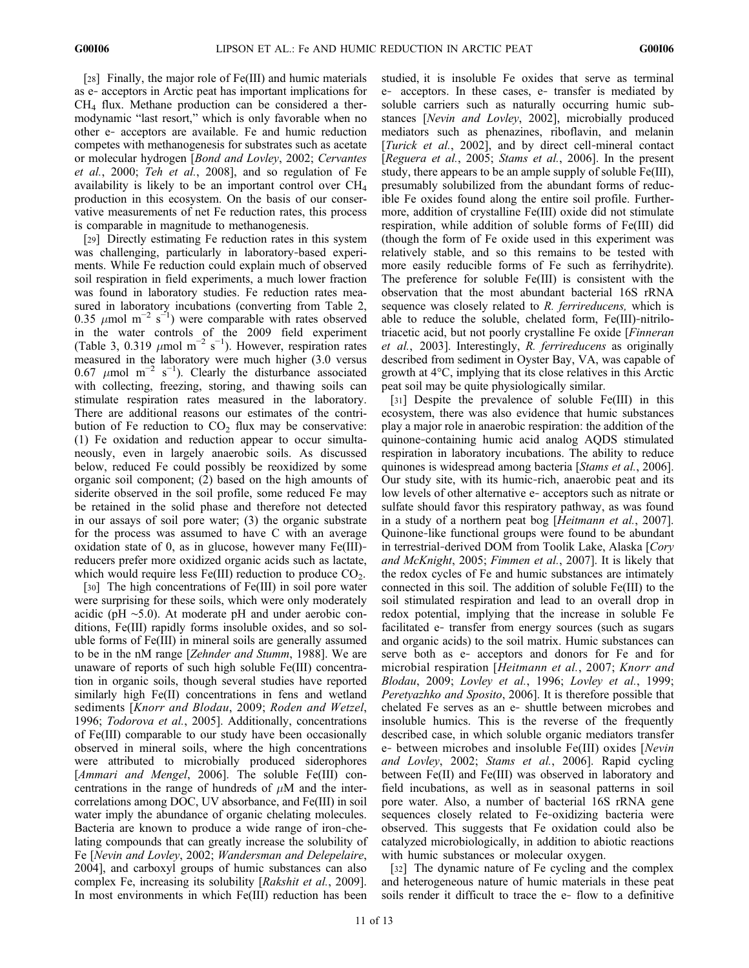[28] Finally, the major role of Fe(III) and humic materials as e‐ acceptors in Arctic peat has important implications for  $CH<sub>4</sub>$  flux. Methane production can be considered a thermodynamic "last resort," which is only favorable when no other e‐ acceptors are available. Fe and humic reduction competes with methanogenesis for substrates such as acetate or molecular hydrogen [Bond and Lovley, 2002; Cervantes et al., 2000; Teh et al., 2008], and so regulation of Fe availability is likely to be an important control over CH4 production in this ecosystem. On the basis of our conservative measurements of net Fe reduction rates, this process is comparable in magnitude to methanogenesis.

[29] Directly estimating Fe reduction rates in this system was challenging, particularly in laboratory‐based experiments. While Fe reduction could explain much of observed soil respiration in field experiments, a much lower fraction was found in laboratory studies. Fe reduction rates measured in laboratory incubations (converting from Table 2, 0.35  $\mu$ mol m<sup>-2</sup> s<sup>-1</sup>) were comparable with rates observed in the water controls of the 2009 field experiment (Table 3, 0.319  $\mu$ mol m<sup>-2</sup> s<sup>-1</sup>). However, respiration rates measured in the laboratory were much higher (3.0 versus 0.67  $\mu$ mol m<sup>-2</sup> s<sup>-1</sup>). Clearly the disturbance associated with collecting, freezing, storing, and thawing soils can stimulate respiration rates measured in the laboratory. There are additional reasons our estimates of the contribution of Fe reduction to  $CO<sub>2</sub>$  flux may be conservative: (1) Fe oxidation and reduction appear to occur simultaneously, even in largely anaerobic soils. As discussed below, reduced Fe could possibly be reoxidized by some organic soil component; (2) based on the high amounts of siderite observed in the soil profile, some reduced Fe may be retained in the solid phase and therefore not detected in our assays of soil pore water; (3) the organic substrate for the process was assumed to have C with an average oxidation state of 0, as in glucose, however many Fe(III)‐ reducers prefer more oxidized organic acids such as lactate, which would require less  $Fe(III)$  reduction to produce  $CO<sub>2</sub>$ .

[30] The high concentrations of Fe(III) in soil pore water were surprising for these soils, which were only moderately acidic (pH ∼5.0). At moderate pH and under aerobic conditions, Fe(III) rapidly forms insoluble oxides, and so soluble forms of Fe(III) in mineral soils are generally assumed to be in the nM range [Zehnder and Stumm, 1988]. We are unaware of reports of such high soluble Fe(III) concentration in organic soils, though several studies have reported similarly high Fe(II) concentrations in fens and wetland sediments [Knorr and Blodau, 2009; Roden and Wetzel, 1996; Todorova et al., 2005]. Additionally, concentrations of Fe(III) comparable to our study have been occasionally observed in mineral soils, where the high concentrations were attributed to microbially produced siderophores [Ammari and Mengel, 2006]. The soluble Fe(III) concentrations in the range of hundreds of  $\mu$ M and the intercorrelations among DOC, UV absorbance, and Fe(III) in soil water imply the abundance of organic chelating molecules. Bacteria are known to produce a wide range of iron‐chelating compounds that can greatly increase the solubility of Fe [Nevin and Lovley, 2002; Wandersman and Delepelaire, 2004], and carboxyl groups of humic substances can also complex Fe, increasing its solubility [Rakshit et al., 2009]. In most environments in which Fe(III) reduction has been

studied, it is insoluble Fe oxides that serve as terminal e‐ acceptors. In these cases, e‐ transfer is mediated by soluble carriers such as naturally occurring humic substances [Nevin and Lovley, 2002], microbially produced mediators such as phenazines, riboflavin, and melanin [Turick et al., 2002], and by direct cell-mineral contact [Reguera et al., 2005; Stams et al., 2006]. In the present study, there appears to be an ample supply of soluble Fe(III), presumably solubilized from the abundant forms of reducible Fe oxides found along the entire soil profile. Furthermore, addition of crystalline Fe(III) oxide did not stimulate respiration, while addition of soluble forms of Fe(III) did (though the form of Fe oxide used in this experiment was relatively stable, and so this remains to be tested with more easily reducible forms of Fe such as ferrihydrite). The preference for soluble Fe(III) is consistent with the observation that the most abundant bacterial 16S rRNA sequence was closely related to R. *ferrireducens*, which is able to reduce the soluble, chelated form, Fe(III)‐nitrilotriacetic acid, but not poorly crystalline Fe oxide [Finneran et al., 2003]. Interestingly, R. ferrireducens as originally described from sediment in Oyster Bay, VA, was capable of growth at 4°C, implying that its close relatives in this Arctic peat soil may be quite physiologically similar.

[31] Despite the prevalence of soluble Fe(III) in this ecosystem, there was also evidence that humic substances play a major role in anaerobic respiration: the addition of the quinone‐containing humic acid analog AQDS stimulated respiration in laboratory incubations. The ability to reduce quinones is widespread among bacteria [Stams et al., 2006]. Our study site, with its humic‐rich, anaerobic peat and its low levels of other alternative e‐ acceptors such as nitrate or sulfate should favor this respiratory pathway, as was found in a study of a northern peat bog [Heitmann et al., 2007]. Quinone‐like functional groups were found to be abundant in terrestrial-derived DOM from Toolik Lake, Alaska [Cory] and McKnight, 2005; Fimmen et al., 2007]. It is likely that the redox cycles of Fe and humic substances are intimately connected in this soil. The addition of soluble Fe(III) to the soil stimulated respiration and lead to an overall drop in redox potential, implying that the increase in soluble Fe facilitated e‐ transfer from energy sources (such as sugars and organic acids) to the soil matrix. Humic substances can serve both as e‐ acceptors and donors for Fe and for microbial respiration [Heitmann et al., 2007; Knorr and Blodau, 2009; Lovley et al., 1996; Lovley et al., 1999; Peretyazhko and Sposito, 2006]. It is therefore possible that chelated Fe serves as an e‐ shuttle between microbes and insoluble humics. This is the reverse of the frequently described case, in which soluble organic mediators transfer e‐ between microbes and insoluble Fe(III) oxides [Nevin and Lovley, 2002; Stams et al., 2006]. Rapid cycling between Fe(II) and Fe(III) was observed in laboratory and field incubations, as well as in seasonal patterns in soil pore water. Also, a number of bacterial 16S rRNA gene sequences closely related to Fe-oxidizing bacteria were observed. This suggests that Fe oxidation could also be catalyzed microbiologically, in addition to abiotic reactions with humic substances or molecular oxygen.

[32] The dynamic nature of Fe cycling and the complex and heterogeneous nature of humic materials in these peat soils render it difficult to trace the e-flow to a definitive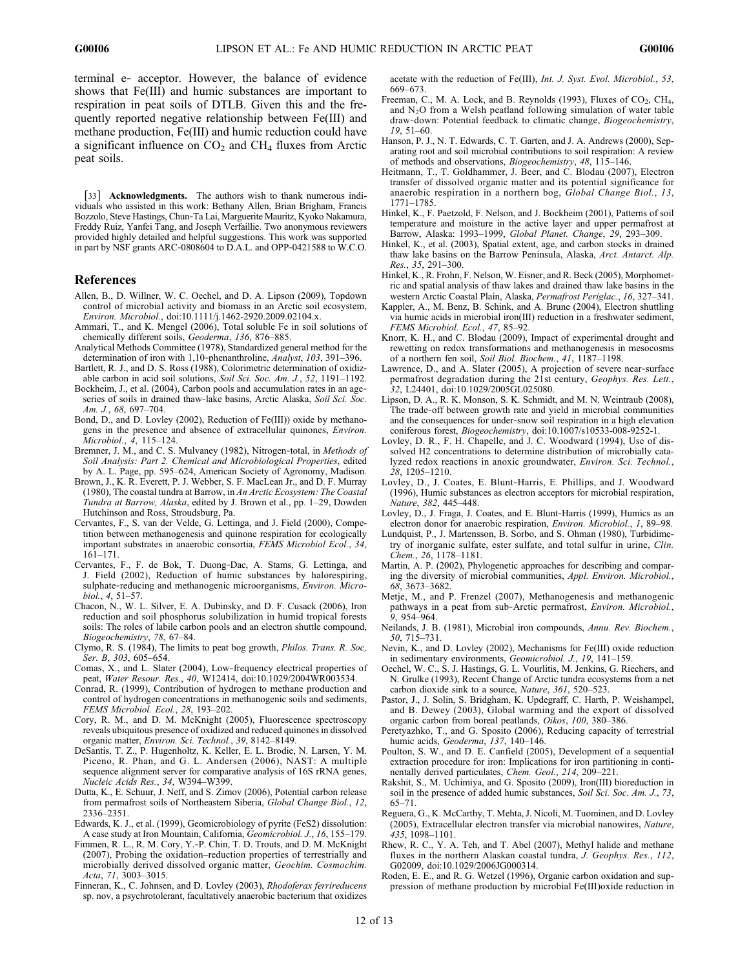terminal e‐ acceptor. However, the balance of evidence shows that Fe(III) and humic substances are important to respiration in peat soils of DTLB. Given this and the frequently reported negative relationship between Fe(III) and methane production, Fe(III) and humic reduction could have a significant influence on  $CO<sub>2</sub>$  and  $CH<sub>4</sub>$  fluxes from Arctic peat soils.

[33] **Acknowledgments.** The authors wish to thank numerous individuals who assisted in this work: Bethany Allen, Brian Brigham, Francis Bozzolo, Steve Hastings, Chun‐Ta Lai, Marguerite Mauritz, Kyoko Nakamura, Freddy Ruiz, Yanfei Tang, and Joseph Verfaillie. Two anonymous reviewers provided highly detailed and helpful suggestions. This work was supported in part by NSF grants ARC‐0808604 to D.A.L. and OPP‐0421588 to W.C.O.

## References

- Allen, B., D. Willner, W. C. Oechel, and D. A. Lipson (2009), Topdown control of microbial activity and biomass in an Arctic soil ecosystem, Environ. Microbiol., doi:10.1111/j.1462-2920.2009.02104.x.
- Ammari, T., and K. Mengel (2006), Total soluble Fe in soil solutions of chemically different soils, Geoderma, 136, 876–885.
- Analytical Methods Committee (1978), Standardized general method for the determination of iron with 1,10-phenanthroline, Analyst, 103, 391-396.
- Bartlett, R. J., and D. S. Ross (1988), Colorimetric determination of oxidizable carbon in acid soil solutions, Soil Sci. Soc. Am. J., 52, 1191–1192.
- Bockheim, J., et al. (2004), Carbon pools and accumulation rates in an ageseries of soils in drained thaw-lake basins, Arctic Alaska, Soil Sci. Soc. Am. J., 68, 697–704.
- Bond, D., and D. Lovley (2002), Reduction of Fe(III)) oxide by methanogens in the presence and absence of extracellular quinones, Environ. Microbiol., 4, 115–124.
- Bremner, J. M., and C. S. Mulvaney (1982), Nitrogen-total, in Methods of Soil Analysis: Part 2. Chemical and Microbiological Properties, edited by A. L. Page, pp. 595–624, American Society of Agronomy, Madison.
- Brown, J., K. R. Everett, P. J. Webber, S. F. MacLean Jr., and D. F. Murray (1980), The coastal tundra at Barrow, in An Arctic Ecosystem: The Coastal Tundra at Barrow, Alaska, edited by J. Brown et al., pp. 1-29, Dowden Hutchinson and Ross, Stroudsburg, Pa.
- Cervantes, F., S. van der Velde, G. Lettinga, and J. Field (2000), Competition between methanogenesis and quinone respiration for ecologically important substrates in anaerobic consortia, FEMS Microbiol Ecol., 34, 161–171.
- Cervantes, F., F. de Bok, T. Duong‐Dac, A. Stams, G. Lettinga, and J. Field (2002), Reduction of humic substances by halorespiring, sulphate-reducing and methanogenic microorganisms, Environ. Microbiol., 4, 51–57.
- Chacon, N., W. L. Silver, E. A. Dubinsky, and D. F. Cusack (2006), Iron reduction and soil phosphorus solubilization in humid tropical forests soils: The roles of labile carbon pools and an electron shuttle compound, Biogeochemistry, 78, 67–84.
- Clymo, R. S. (1984), The limits to peat bog growth, Philos. Trans. R. Soc, Ser. B, 303, 605–654.
- Comas, X., and L. Slater (2004), Low‐frequency electrical properties of peat, Water Resour. Res., 40, W12414, doi:10.1029/2004WR003534.
- Conrad, R. (1999), Contribution of hydrogen to methane production and control of hydrogen concentrations in methanogenic soils and sediments, FEMS Microbiol. Ecol., 28, 193–202.
- Cory, R. M., and D. M. McKnight (2005), Fluorescence spectroscopy reveals ubiquitous presence of oxidized and reduced quinones in dissolved organic matter, Environ. Sci. Technol., 39, 8142–8149.
- DeSantis, T. Z., P. Hugenholtz, K. Keller, E. L. Brodie, N. Larsen, Y. M. Piceno, R. Phan, and G. L. Andersen (2006), NAST: A multiple sequence alignment server for comparative analysis of 16S rRNA genes, Nucleic Acids Res., 34, W394–W399.
- Dutta, K., E. Schuur, J. Neff, and S. Zimov (2006), Potential carbon release from permafrost soils of Northeastern Siberia, Global Change Biol., 12, 2336–2351.
- Edwards, K. J., et al. (1999), Geomicrobiology of pyrite (FeS2) dissolution: A case study at Iron Mountain, California, Geomicrobiol. J., 16, 155–179.
- Fimmen, R. L., R. M. Cory, Y.‐P. Chin, T. D. Trouts, and D. M. McKnight (2007), Probing the oxidation–reduction properties of terrestrially and microbially derived dissolved organic matter, Geochim. Cosmochim. Acta, 71, 3003–3015.
- Finneran, K., C. Johnsen, and D. Lovley (2003), Rhodoferax ferrireducens sp. nov, a psychrotolerant, facultatively anaerobic bacterium that oxidizes

acetate with the reduction of Fe(III), Int. J. Syst. Evol. Microbiol., 53, 669–673.

- Freeman, C., M. A. Lock, and B. Reynolds (1993), Fluxes of  $CO<sub>2</sub>$ , CH<sub>4</sub>, and  $N<sub>2</sub>O$  from a Welsh peatland following simulation of water table draw‐down: Potential feedback to climatic change, Biogeochemistry, 19, 51–60.
- Hanson, P. J., N. T. Edwards, C. T. Garten, and J. A. Andrews (2000), Separating root and soil microbial contributions to soil respiration: A review of methods and observations, Biogeochemistry, 48, 115–146.
- Heitmann, T., T. Goldhammer, J. Beer, and C. Blodau (2007), Electron transfer of dissolved organic matter and its potential significance for anaerobic respiration in a northern bog, Global Change Biol., 13, 1771–1785.
- Hinkel, K., F. Paetzold, F. Nelson, and J. Bockheim (2001), Patterns of soil temperature and moisture in the active layer and upper permafrost at Barrow, Alaska: 1993–1999, Global Planet. Change, 29, 293–309.
- Hinkel, K., et al. (2003), Spatial extent, age, and carbon stocks in drained thaw lake basins on the Barrow Peninsula, Alaska, Arct. Antarct. Alp. Res., 35, 291–300.
- Hinkel, K., R. Frohn, F. Nelson, W. Eisner, and R. Beck (2005), Morphometric and spatial analysis of thaw lakes and drained thaw lake basins in the western Arctic Coastal Plain, Alaska, Permafrost Periglac., 16, 327–341.
- Kappler, A., M. Benz, B. Schink, and A. Brune (2004), Electron shuttling via humic acids in microbial iron(III) reduction in a freshwater sediment, FEMS Microbiol. Ecol., 47, 85–92.
- Knorr, K. H., and C. Blodau (2009), Impact of experimental drought and rewetting on redox transformations and methanogenesis in mesocosms of a northern fen soil, Soil Biol. Biochem., 41, 1187–1198.
- Lawrence, D., and A. Slater (2005), A projection of severe near-surface permafrost degradation during the 21st century, Geophys. Res. Lett., 32, L24401, doi:10.1029/2005GL025080.
- Lipson, D. A., R. K. Monson, S. K. Schmidt, and M. N. Weintraub (2008), The trade-off between growth rate and yield in microbial communities and the consequences for under‐snow soil respiration in a high elevation coniferous forest, Biogeochemistry, doi:10.1007/s10533-008-9252-1.
- Lovley, D. R., F. H. Chapelle, and J. C. Woodward (1994), Use of dissolved H2 concentrations to determine distribution of microbially catalyzed redox reactions in anoxic groundwater, Environ. Sci. Technol., 28, 1205–1210.
- Lovley, D., J. Coates, E. Blunt‐Harris, E. Phillips, and J. Woodward (1996), Humic substances as electron acceptors for microbial respiration, Nature, 382, 445–448.
- Lovley, D., J. Fraga, J. Coates, and E. Blunt-Harris (1999), Humics as an electron donor for anaerobic respiration, Environ. Microbiol., 1, 89–98.
- Lundquist, P., J. Martensson, B. Sorbo, and S. Ohman (1980), Turbidimetry of inorganic sulfate, ester sulfate, and total sulfur in urine, Clin. Chem., 26, 1178–1181.
- Martin, A. P. (2002), Phylogenetic approaches for describing and comparing the diversity of microbial communities, Appl. Environ. Microbiol., 68, 3673–3682.
- Metje, M., and P. Frenzel (2007), Methanogenesis and methanogenic pathways in a peat from sub‐Arctic permafrost, Environ. Microbiol., 9, 954–964.
- Neilands, J. B. (1981), Microbial iron compounds, Annu. Rev. Biochem., 50, 715–731.
- Nevin, K., and D. Lovley (2002), Mechanisms for Fe(III) oxide reduction in sedimentary environments, Geomicrobiol. J., 19, 141–159.
- Oechel, W. C., S. J. Hastings, G. L. Vourlitis, M. Jenkins, G. Riechers, and N. Grulke (1993), Recent Change of Arctic tundra ecosystems from a net carbon dioxide sink to a source, Nature, 361, 520–523.
- Pastor, J., J. Solin, S. Bridgham, K. Updegraff, C. Harth, P. Weishampel, and B. Dewey (2003), Global warming and the export of dissolved organic carbon from boreal peatlands, Oikos, 100, 380–386.
- Peretyazhko, T., and G. Sposito (2006), Reducing capacity of terrestrial humic acids, Geoderma, 137, 140–146.
- Poulton, S. W., and D. E. Canfield (2005), Development of a sequential extraction procedure for iron: Implications for iron partitioning in continentally derived particulates, Chem. Geol., 214, 209–221.
- Rakshit, S., M. Uchimiya, and G. Sposito (2009), Iron(III) bioreduction in soil in the presence of added humic substances, Soil Sci. Soc. Am. J., 73, 65–71.
- Reguera, G., K. McCarthy, T. Mehta, J. Nicoli, M. Tuominen, and D. Lovley (2005), Extracellular electron transfer via microbial nanowires, Nature, 435, 1098–1101.
- Rhew, R. C., Y. A. Teh, and T. Abel (2007), Methyl halide and methane fluxes in the northern Alaskan coastal tundra, J. Geophys. Res., 112, G02009, doi:10.1029/2006JG000314.
- Roden, E. E., and R. G. Wetzel (1996), Organic carbon oxidation and suppression of methane production by microbial Fe(III)oxide reduction in